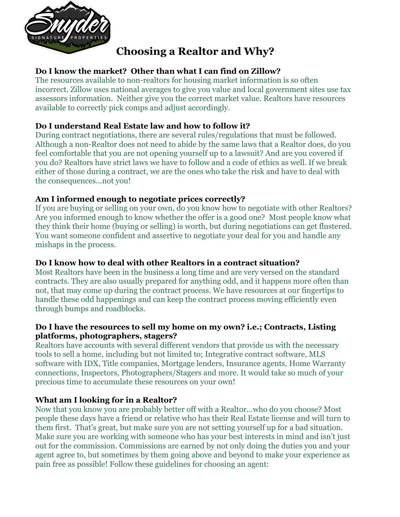

# **Choosing a Realtor and Why?**

## **Do I know the market? Other than what I can find on Zillow?**

The resources available to non-realtors for housing market information is so often incorrect. Zillow uses national averages to give you value and local government sites use tax assessors information. Neither give you the correct market value. Realtors have resources available to correctly pick comps and adjust accordingly.

## **Do I understand Real Estate law and how to follow it?**

During contract negotiations, there are several rules/regulations that must be followed. Although a non-Realtor does not need to abide by the same laws that a Realtor does, do you feel comfortable that you are not opening yourself up to a lawsuit? And are you covered if you do? Realtors have strict laws we have to follow and a code of ethics as well. If we break either of those during a contract, we are the ones who take the risk and have to deal with the consequences...not you!

## **Am I informed enough to negotiate prices correctly?**

If you are buying or selling on your own, do you know how to negotiate with other Realtors? Are you informed enough to know whether the offer is a good one? Most people know what they think their home (buying or selling) is worth, but during negotiations can get flustered. You want someone confident and assertive to negotiate your deal for you and handle any mishaps in the process.

## **Do I know how to deal with other Realtors in a contract situation?**

Most Realtors have been in the business a long time and are very versed on the standard contracts. They are also usually prepared for anything odd, and it happens more often than not, that may come up during the contract process. We have resources at our fingertips to handle these odd happenings and can keep the contract process moving efficiently even through bumps and roadblocks.

#### **Do I have the resources to sell my home on my own? i.e.; Contracts, Listing platforms, photographers, stagers?**

Realtors have accounts with several different vendors that provide us with the necessary tools to sell a home, including but not limited to; Integrative contract software, MLS software with IDX, Title companies, Mortgage lenders, Insurance agents, Home Warranty connections, Inspectors, Photographers/Stagers and more. It would take so much of your precious time to accumulate these resources on your own!

## **What am I looking for in a Realtor?**

Now that you know you are probably better off with a Realtor...who do you choose? Most people these days have a friend or relative who has their Real Estate license and will turn to them first. That's great, but make sure you are not setting yourself up for a bad situation. Make sure you are working with someone who has your best interests in mind and isn't just out for the commission. Commissions are earned by not only doing the duties you and your agent agree to, but sometimes by them going above and beyond to make your experience as pain free as possible! Follow these guidelines for choosing an agent: